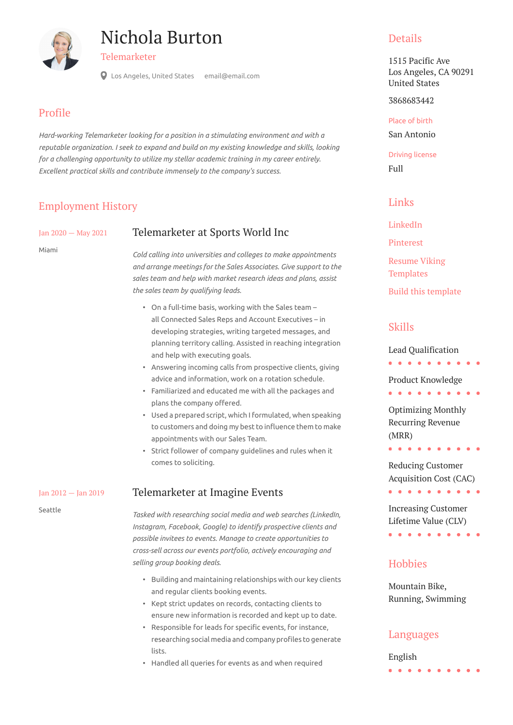# Nichola Burton



Telemarketer

Los Angeles, United States email@email.com

#### Profile

*Hard-working Telemarketer looking for a position in a stimulating environment and with a reputable organization. I seek to expand and build on my existing knowledge and skills, looking for a challenging opportunity to utilize my stellar academic training in my career entirely. Excellent practical skills and contribute immensely to the company's success.*

### Employment History

Jan 2020 — May 2021

Miami

#### Telemarketer at Sports World Inc

*Cold calling into universities and colleges to make appointments and arrange meetings for the Sales Associates. Give support to the sales team and help with market research ideas and plans, assist the sales team by qualifying leads.*

- On a full-time basis, working with the Sales team all Connected Sales Reps and Account Executives – in developing strategies, writing targeted messages, and planning territory calling. Assisted in reaching integration and help with executing goals.
- Answering incoming calls from prospective clients, giving advice and information, work on a rotation schedule.
- Familiarized and educated me with all the packages and plans the company offered.
- Used a prepared script, which I formulated, when speaking to customers and doing my best to influence them to make appointments with our Sales Team.
- Strict follower of company guidelines and rules when it comes to soliciting.

#### Telemarketer at Imagine Events

Seattle

Jan 2012 — Jan 2019

*Tasked with researching social media and web searches (LinkedIn, Instagram, Facebook, Google) to identify prospective clients and possible invitees to events. Manage to create opportunities to cross-sell across our events portfolio, actively encouraging and selling group booking deals.*

- Building and maintaining relationships with our key clients and regular clients booking events.
- Kept strict updates on records, contacting clients to ensure new information is recorded and kept up to date.
- Responsible for leads for specific events, for instance, researching social media and company profiles to generate lists.
- Handled all queries for events as and when required

#### **Details**

1515 Pacific Ave Los Angeles, CA 90291 United States

3868683442

Place of birth San Antonio

Driving license Full

#### Links

[LinkedIn](https://www.linkedin.com/)

[Pinterest](https://www.pinterest.es/resumeviking/)

[Resume Viking](https://www.resumeviking.com/templates/word/) 

**[Templates](https://www.resumeviking.com/templates/word/)** 

[Build this template](https://resume.io/?id=cpdokyF1)

# Skills

Lead Qualification

. . . . . .

Product Knowledge

. . . . . . . . . .

Optimizing Monthly Recurring Revenue (MRR)

Reducing Customer Acquisition Cost (CAC) . . . . . . . . . .

. . . . . . . . . .

Increasing Customer Lifetime Value (CLV)

. . . . . . . . . .

#### **Hobbies**

Mountain Bike, Running, Swimming

#### Languages

English